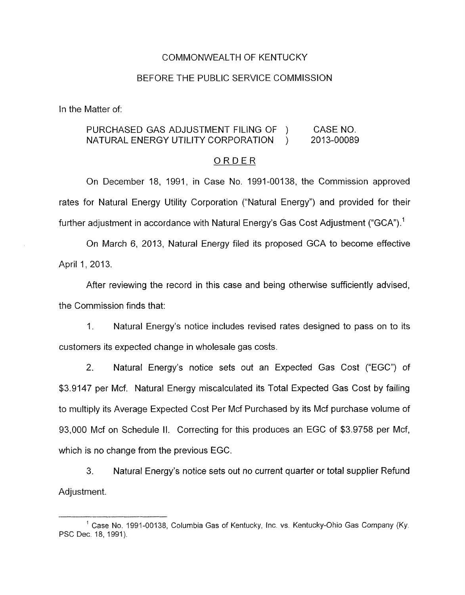## COMMONWEALTH OF KENTUCKY

### BEFORE THE PUBLIC SERVICE COMMISSION

In the Matter of:

# PURCHASED GAS ADJUSTMENT FILING OF ) CASE NO. NATURAL ENERGY UTILITY CORPORATION ) 2013-00089

#### ORDER

On December 18, 1991, in Case No. 1991-00138, the Commission approved rates for Natural Energy Utility Corporation ("Natural Energy") and provided for their further adjustment in accordance with Natural Energy's Gas Cost Adjustment ("GCA").<sup>1</sup>

On March 6, 2013, Natural Energy filed its proposed GCA to become effective April 1, 2013.

After reviewing the record in this case and being otherwise sufficiently advised, the Commission finds that:

1. Natural Energy's notice includes revised rates designed to pass on to its customers its expected change in wholesale gas costs.

2. Natural Energy's notice sets out an Expected Gas Cost ("EGC") of \$3.9147 per Mcf. Natural Energy miscalculated its Total Expected Gas Cost by failing to multiply its Average Expected Cost Per Mcf Purchased by its Mcf purchase volume of 93,000 Mcf on Schedule II. Correcting for this produces an EGC of \$3.9758 per Mcf, which is no change from the previous EGC.

3. Natural Energy's notice sets out no current quarter or total supplier Refund Adjustment.

Case **No.** 1991-00138, Columbia Gas of Kentucky, Inc. vs. Kentucky-Ohio *Gas* Company (Ky. PSC Dec. 18, 1991).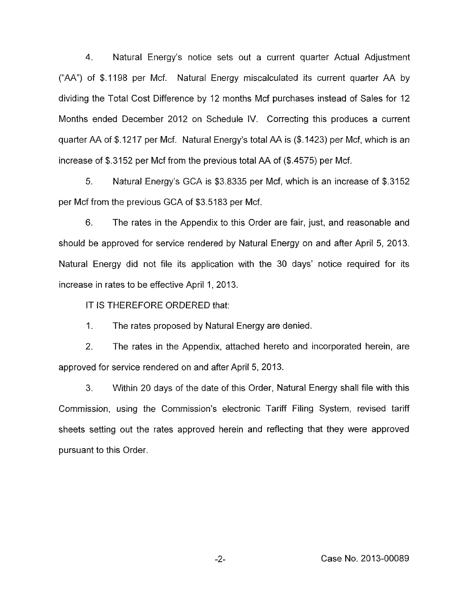**4.** Natural Energy's notice sets out a current quarter Actual Adjustment ("AA'') of \$.I198 per Mcf. Natural Energy miscalculated its current quarter AA by dividing the Total Cost Difference by 12 months Mcf purchases instead of Sales for 12 Months ended December 2012 on Schedule IV. Correcting this produces a current quarter AA of \$.I217 per Mcf. Natural Energy's total AA is (\$.1423) per Mcf, which is an increase of \$.3152 per Mcf from the previous total AA of (\$.4575) per Mcf.

5. Natural Energy's GCA is \$3.8335 per Mcf, which is an increase of \$.3152 per Mcf from the previous GCA of \$3.5183 per Mcf.

6. The rates in the Appendix to this Order are fair, just, and reasonable and should be approved for service rendered by Natural Energy on and after April 5, 2013. Natural Energy did not file its application with the 30 days' notice required for its increase in rates to be effective April 1, 2013.

IT IS THEREFORE ORDERED that:

1. The rates proposed by Natural Energy are denied.

2. The rates in the Appendix, attached hereto and incorporated herein, are approved for service rendered on and after April 5,2013.

3. Within 20 days of the date of this Order, Natural Energy shall file with this Commission, using the Commission's electronic Tariff Filing System, revised tariff sheets setting out the rates approved herein and reflecting that they were approved pursuant to this Order.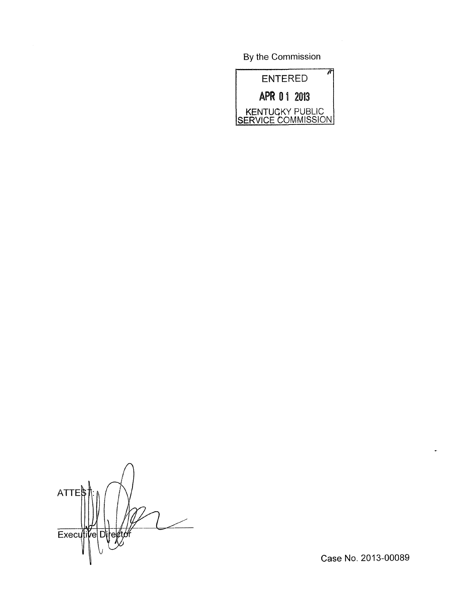**By** the Commission



*n*  ATTE Executi vе Di

Case No. 2013-00089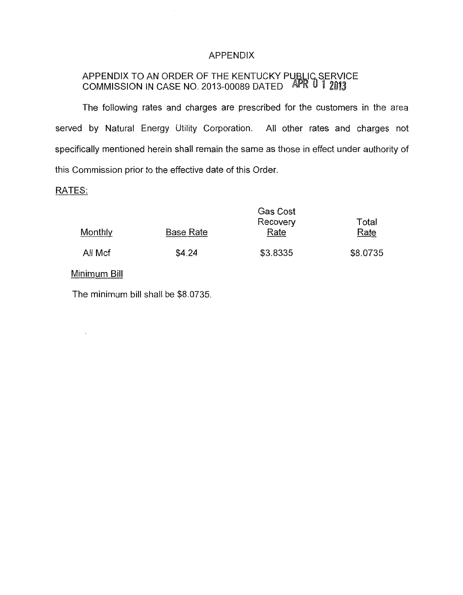# APPENDIX

#### SERVICE  $\mathbf{r}$ APPENDIX TO AN ORDER OF THE KENTUCKY P COMMISSION IN CASE NO. 2013-00089 DATED

The following rates and charges are prescribed for the customers in the area served by Natural Energy Utility Corporation. All other rates and charges not specifically mentioned herein shall remain the same as those in effect under authority of this Commission prior to the effective date of this Order.

# RATES:

| Monthly      | Base Rate | <b>Gas Cost</b><br>Recovery<br>Rate | Total<br>Rate |
|--------------|-----------|-------------------------------------|---------------|
| All Mcf      | \$4.24    | \$3.8335                            | \$8.0735      |
| Minimum Bill |           |                                     |               |

The minimum bill shall be \$8.0735.